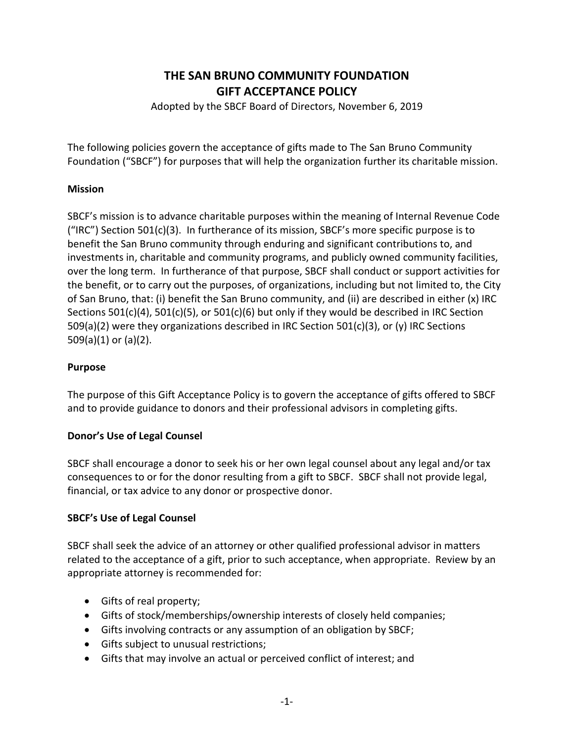# **THE SAN BRUNO COMMUNITY FOUNDATION GIFT ACCEPTANCE POLICY**

Adopted by the SBCF Board of Directors, November 6, 2019

The following policies govern the acceptance of gifts made to The San Bruno Community Foundation ("SBCF") for purposes that will help the organization further its charitable mission.

## **Mission**

SBCF's mission is to advance charitable purposes within the meaning of Internal Revenue Code ("IRC") Section 501(c)(3). In furtherance of its mission, SBCF's more specific purpose is to benefit the San Bruno community through enduring and significant contributions to, and investments in, charitable and community programs, and publicly owned community facilities, over the long term. In furtherance of that purpose, SBCF shall conduct or support activities for the benefit, or to carry out the purposes, of organizations, including but not limited to, the City of San Bruno, that: (i) benefit the San Bruno community, and (ii) are described in either (x) IRC Sections 501(c)(4), 501(c)(5), or 501(c)(6) but only if they would be described in IRC Section 509(a)(2) were they organizations described in IRC Section 501(c)(3), or (y) IRC Sections 509(a)(1) or (a)(2).

## **Purpose**

The purpose of this Gift Acceptance Policy is to govern the acceptance of gifts offered to SBCF and to provide guidance to donors and their professional advisors in completing gifts.

# **Donor's Use of Legal Counsel**

SBCF shall encourage a donor to seek his or her own legal counsel about any legal and/or tax consequences to or for the donor resulting from a gift to SBCF. SBCF shall not provide legal, financial, or tax advice to any donor or prospective donor.

#### **SBCF's Use of Legal Counsel**

SBCF shall seek the advice of an attorney or other qualified professional advisor in matters related to the acceptance of a gift, prior to such acceptance, when appropriate. Review by an appropriate attorney is recommended for:

- Gifts of real property;
- Gifts of stock/memberships/ownership interests of closely held companies;
- Gifts involving contracts or any assumption of an obligation by SBCF;
- Gifts subject to unusual restrictions;
- Gifts that may involve an actual or perceived conflict of interest; and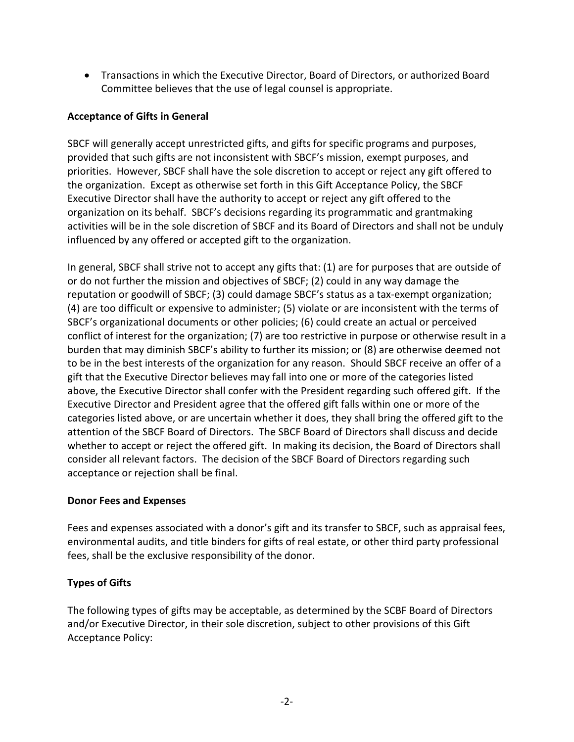• Transactions in which the Executive Director, Board of Directors, or authorized Board Committee believes that the use of legal counsel is appropriate.

# **Acceptance of Gifts in General**

SBCF will generally accept unrestricted gifts, and gifts for specific programs and purposes, provided that such gifts are not inconsistent with SBCF's mission, exempt purposes, and priorities. However, SBCF shall have the sole discretion to accept or reject any gift offered to the organization. Except as otherwise set forth in this Gift Acceptance Policy, the SBCF Executive Director shall have the authority to accept or reject any gift offered to the organization on its behalf. SBCF's decisions regarding its programmatic and grantmaking activities will be in the sole discretion of SBCF and its Board of Directors and shall not be unduly influenced by any offered or accepted gift to the organization.

In general, SBCF shall strive not to accept any gifts that: (1) are for purposes that are outside of or do not further the mission and objectives of SBCF; (2) could in any way damage the reputation or goodwill of SBCF; (3) could damage SBCF's status as a tax-exempt organization; (4) are too difficult or expensive to administer; (5) violate or are inconsistent with the terms of SBCF's organizational documents or other policies; (6) could create an actual or perceived conflict of interest for the organization; (7) are too restrictive in purpose or otherwise result in a burden that may diminish SBCF's ability to further its mission; or (8) are otherwise deemed not to be in the best interests of the organization for any reason. Should SBCF receive an offer of a gift that the Executive Director believes may fall into one or more of the categories listed above, the Executive Director shall confer with the President regarding such offered gift. If the Executive Director and President agree that the offered gift falls within one or more of the categories listed above, or are uncertain whether it does, they shall bring the offered gift to the attention of the SBCF Board of Directors. The SBCF Board of Directors shall discuss and decide whether to accept or reject the offered gift. In making its decision, the Board of Directors shall consider all relevant factors. The decision of the SBCF Board of Directors regarding such acceptance or rejection shall be final.

#### **Donor Fees and Expenses**

Fees and expenses associated with a donor's gift and its transfer to SBCF, such as appraisal fees, environmental audits, and title binders for gifts of real estate, or other third party professional fees, shall be the exclusive responsibility of the donor.

# **Types of Gifts**

The following types of gifts may be acceptable, as determined by the SCBF Board of Directors and/or Executive Director, in their sole discretion, subject to other provisions of this Gift Acceptance Policy: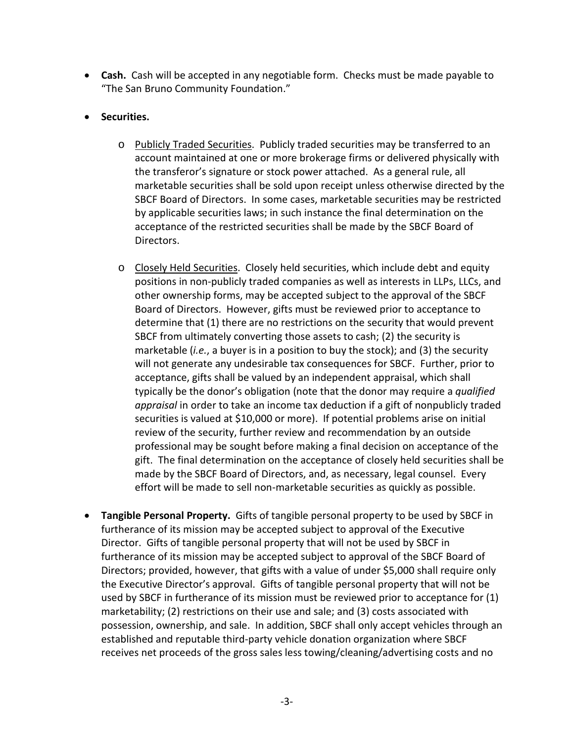- **Cash.** Cash will be accepted in any negotiable form. Checks must be made payable to "The San Bruno Community Foundation."
- **Securities.**
	- o Publicly Traded Securities. Publicly traded securities may be transferred to an account maintained at one or more brokerage firms or delivered physically with the transferor's signature or stock power attached. As a general rule, all marketable securities shall be sold upon receipt unless otherwise directed by the SBCF Board of Directors. In some cases, marketable securities may be restricted by applicable securities laws; in such instance the final determination on the acceptance of the restricted securities shall be made by the SBCF Board of Directors.
	- o Closely Held Securities. Closely held securities, which include debt and equity positions in non-publicly traded companies as well as interests in LLPs, LLCs, and other ownership forms, may be accepted subject to the approval of the SBCF Board of Directors. However, gifts must be reviewed prior to acceptance to determine that (1) there are no restrictions on the security that would prevent SBCF from ultimately converting those assets to cash; (2) the security is marketable (*i.e.*, a buyer is in a position to buy the stock); and (3) the security will not generate any undesirable tax consequences for SBCF. Further, prior to acceptance, gifts shall be valued by an independent appraisal, which shall typically be the donor's obligation (note that the donor may require a *qualified appraisal* in order to take an income tax deduction if a gift of nonpublicly traded securities is valued at \$10,000 or more). If potential problems arise on initial review of the security, further review and recommendation by an outside professional may be sought before making a final decision on acceptance of the gift. The final determination on the acceptance of closely held securities shall be made by the SBCF Board of Directors, and, as necessary, legal counsel. Every effort will be made to sell non-marketable securities as quickly as possible.
- **Tangible Personal Property.** Gifts of tangible personal property to be used by SBCF in furtherance of its mission may be accepted subject to approval of the Executive Director. Gifts of tangible personal property that will not be used by SBCF in furtherance of its mission may be accepted subject to approval of the SBCF Board of Directors; provided, however, that gifts with a value of under \$5,000 shall require only the Executive Director's approval. Gifts of tangible personal property that will not be used by SBCF in furtherance of its mission must be reviewed prior to acceptance for (1) marketability; (2) restrictions on their use and sale; and (3) costs associated with possession, ownership, and sale. In addition, SBCF shall only accept vehicles through an established and reputable third-party vehicle donation organization where SBCF receives net proceeds of the gross sales less towing/cleaning/advertising costs and no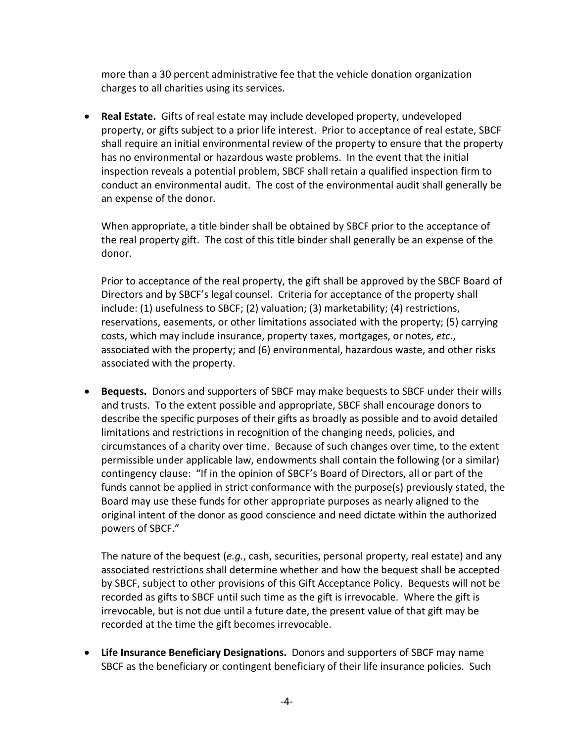more than a 30 percent administrative fee that the vehicle donation organization charges to all charities using its services.

• **Real Estate.** Gifts of real estate may include developed property, undeveloped property, or gifts subject to a prior life interest. Prior to acceptance of real estate, SBCF shall require an initial environmental review of the property to ensure that the property has no environmental or hazardous waste problems. In the event that the initial inspection reveals a potential problem, SBCF shall retain a qualified inspection firm to conduct an environmental audit. The cost of the environmental audit shall generally be an expense of the donor.

When appropriate, a title binder shall be obtained by SBCF prior to the acceptance of the real property gift. The cost of this title binder shall generally be an expense of the donor.

Prior to acceptance of the real property, the gift shall be approved by the SBCF Board of Directors and by SBCF's legal counsel. Criteria for acceptance of the property shall include: (1) usefulness to SBCF; (2) valuation; (3) marketability; (4) restrictions, reservations, easements, or other limitations associated with the property; (5) carrying costs, which may include insurance, property taxes, mortgages, or notes, *etc.*, associated with the property; and (6) environmental, hazardous waste, and other risks associated with the property.

• **Bequests.** Donors and supporters of SBCF may make bequests to SBCF under their wills and trusts. To the extent possible and appropriate, SBCF shall encourage donors to describe the specific purposes of their gifts as broadly as possible and to avoid detailed limitations and restrictions in recognition of the changing needs, policies, and circumstances of a charity over time. Because of such changes over time, to the extent permissible under applicable law, endowments shall contain the following (or a similar) contingency clause: "If in the opinion of SBCF's Board of Directors, all or part of the funds cannot be applied in strict conformance with the purpose(s) previously stated, the Board may use these funds for other appropriate purposes as nearly aligned to the original intent of the donor as good conscience and need dictate within the authorized powers of SBCF."

The nature of the bequest (*e.g.*, cash, securities, personal property, real estate) and any associated restrictions shall determine whether and how the bequest shall be accepted by SBCF, subject to other provisions of this Gift Acceptance Policy. Bequests will not be recorded as gifts to SBCF until such time as the gift is irrevocable. Where the gift is irrevocable, but is not due until a future date, the present value of that gift may be recorded at the time the gift becomes irrevocable.

• **Life Insurance Beneficiary Designations.** Donors and supporters of SBCF may name SBCF as the beneficiary or contingent beneficiary of their life insurance policies. Such